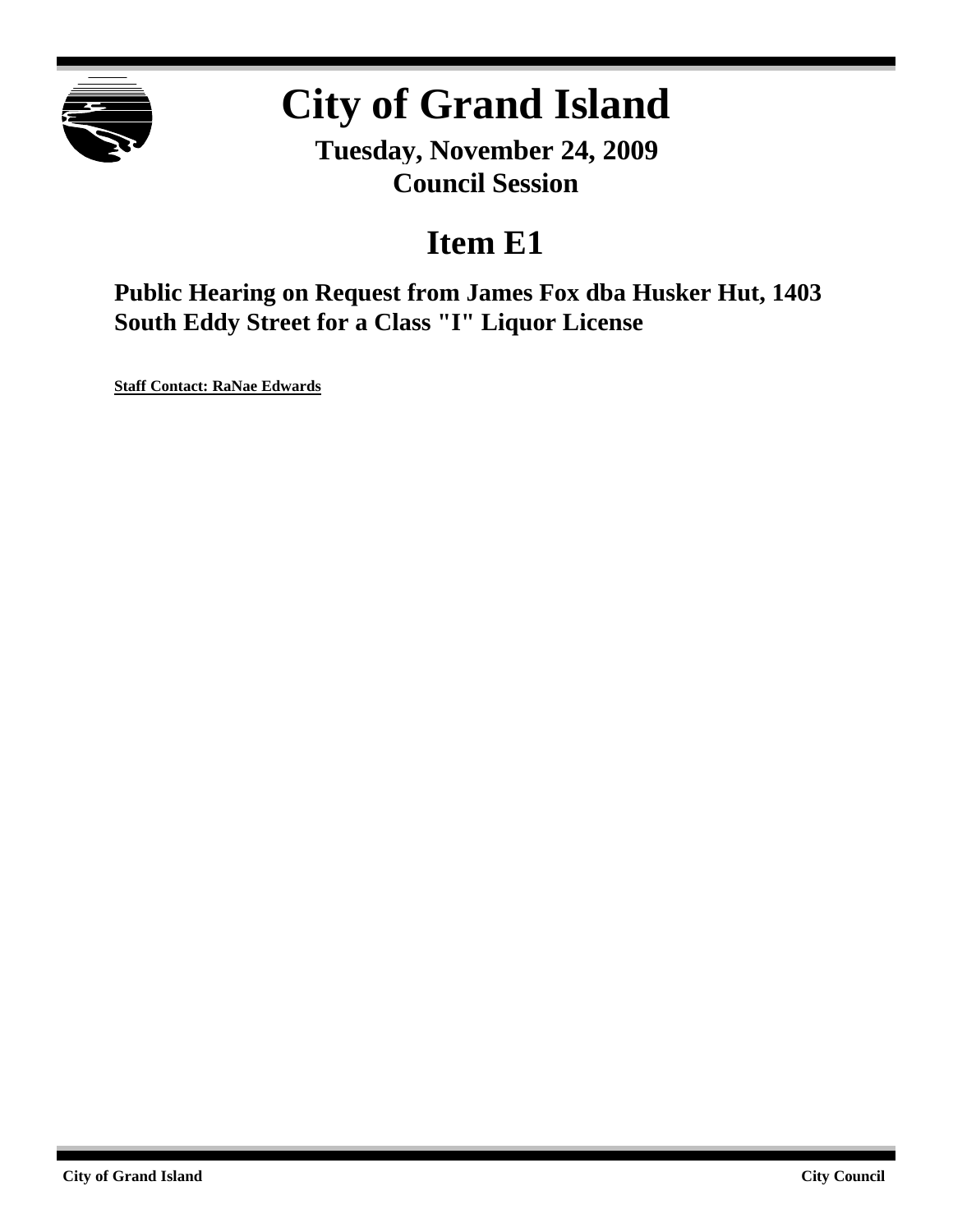

# **City of Grand Island**

**Tuesday, November 24, 2009 Council Session**

# **Item E1**

**Public Hearing on Request from James Fox dba Husker Hut, 1403 South Eddy Street for a Class "I" Liquor License**

**Staff Contact: RaNae Edwards**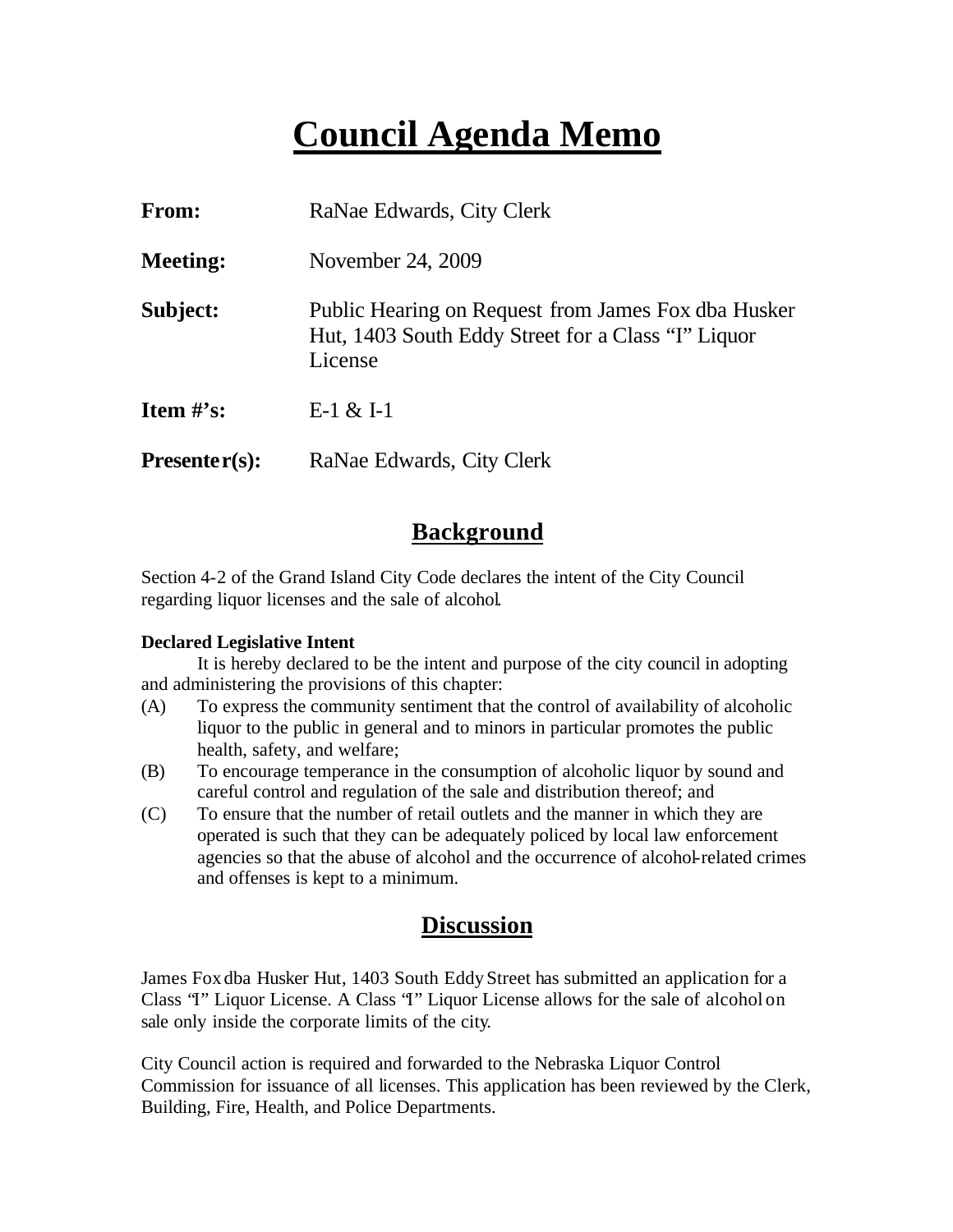# **Council Agenda Memo**

| From:           | RaNae Edwards, City Clerk                                                                                            |
|-----------------|----------------------------------------------------------------------------------------------------------------------|
| <b>Meeting:</b> | November 24, 2009                                                                                                    |
| Subject:        | Public Hearing on Request from James Fox dba Husker<br>Hut, 1403 South Eddy Street for a Class "I" Liquor<br>License |
| Item $\#$ 's:   | $E-1 & 2E-1$                                                                                                         |
| $Presenter(s):$ | RaNae Edwards, City Clerk                                                                                            |

## **Background**

Section 4-2 of the Grand Island City Code declares the intent of the City Council regarding liquor licenses and the sale of alcohol.

#### **Declared Legislative Intent**

It is hereby declared to be the intent and purpose of the city council in adopting and administering the provisions of this chapter:

- (A) To express the community sentiment that the control of availability of alcoholic liquor to the public in general and to minors in particular promotes the public health, safety, and welfare;
- (B) To encourage temperance in the consumption of alcoholic liquor by sound and careful control and regulation of the sale and distribution thereof; and
- (C) To ensure that the number of retail outlets and the manner in which they are operated is such that they can be adequately policed by local law enforcement agencies so that the abuse of alcohol and the occurrence of alcohol-related crimes and offenses is kept to a minimum.

## **Discussion**

James Fox dba Husker Hut, 1403 South Eddy Street has submitted an application for a Class "I" Liquor License. A Class "I" Liquor License allows for the sale of alcohol on sale only inside the corporate limits of the city.

City Council action is required and forwarded to the Nebraska Liquor Control Commission for issuance of all licenses. This application has been reviewed by the Clerk, Building, Fire, Health, and Police Departments.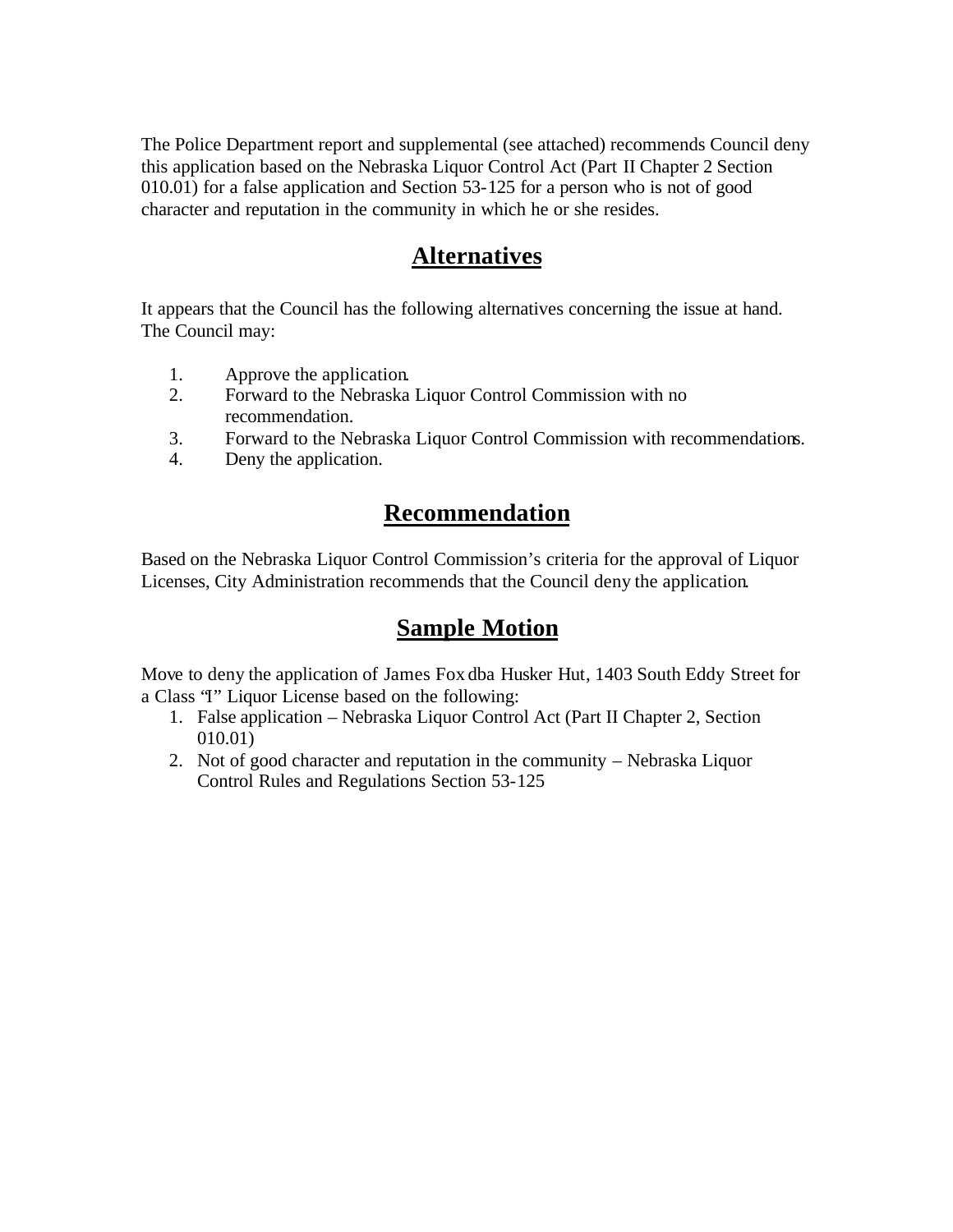The Police Department report and supplemental (see attached) recommends Council deny this application based on the Nebraska Liquor Control Act (Part II Chapter 2 Section 010.01) for a false application and Section 53-125 for a person who is not of good character and reputation in the community in which he or she resides.

## **Alternatives**

It appears that the Council has the following alternatives concerning the issue at hand. The Council may:

- 1. Approve the application.
- 2. Forward to the Nebraska Liquor Control Commission with no recommendation.
- 3. Forward to the Nebraska Liquor Control Commission with recommendations.
- 4. Deny the application.

#### **Recommendation**

Based on the Nebraska Liquor Control Commission's criteria for the approval of Liquor Licenses, City Administration recommends that the Council deny the application.

## **Sample Motion**

Move to deny the application of James Fox dba Husker Hut, 1403 South Eddy Street for a Class "I" Liquor License based on the following:

- 1. False application Nebraska Liquor Control Act (Part II Chapter 2, Section 010.01)
- 2. Not of good character and reputation in the community Nebraska Liquor Control Rules and Regulations Section 53-125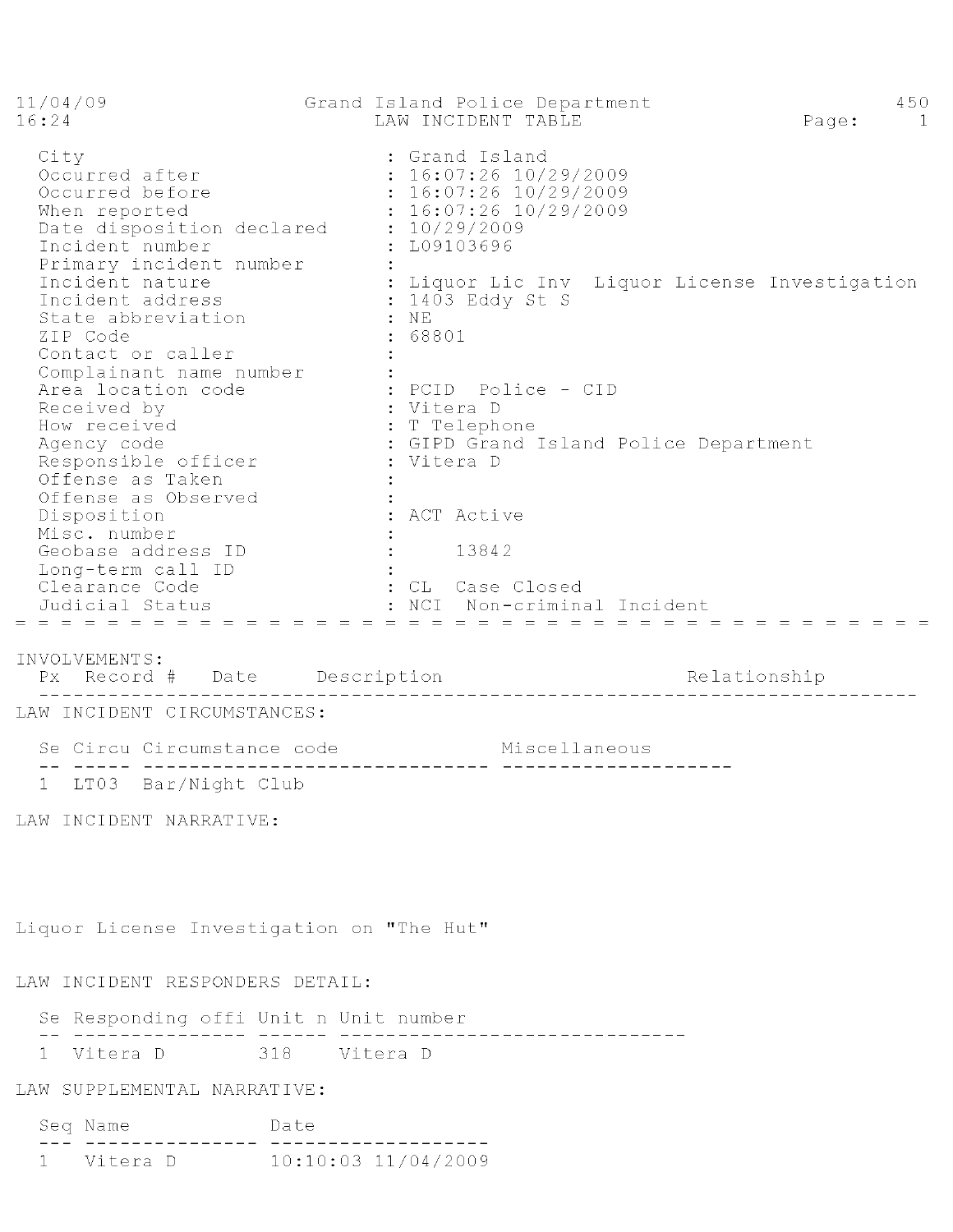Grand Island Police Department  $11/04/09$ 450 Page: 1  $16:24$ LAW INCIDENT TABLE City<br>
Cocurred after : 16:07:26 10/29/2009<br>
Occurred before : 16:07:26 10/29/2009<br>
When reported : 16:07:26 10/29/2009<br>
Date disposition declared : 10/29/2009<br>
Date disposition declared : 10/29/2009<br>
Incident number : L091 Complainant name number <br>
Area location code : PCID Police - CID<br>
Received by : Vitera D<br>
How received : T Telephone<br>
Agency code : GIPD Grand Island Police Department<br>
Responsible officer : Vitera D<br>
Offense as Taken :<br>
. Offense as Taken ACT Active<br>
Misc. number<br>
Geobase address ID:<br>
Long-term call ID:<br>
Clearance Code<br>
Tudis INVOLVEMENTS: Px Record # Date Description Relationship LAW INCIDENT CIRCUMSTANCES: Se Circu Circumstance code Miscellaneous 1 LT03 Bar/Night Club LAW INCIDENT NARRATIVE: Liquor License Investigation on "The Hut" LAW INCIDENT RESPONDERS DETAIL: Se Responding offi Unit n Unit number 1 Vitera D 318 Vitera D LAW SUPPLEMENTAL NARRATIVE: Seq Name Date 1 Vitera D 10:10:03 11/04/2009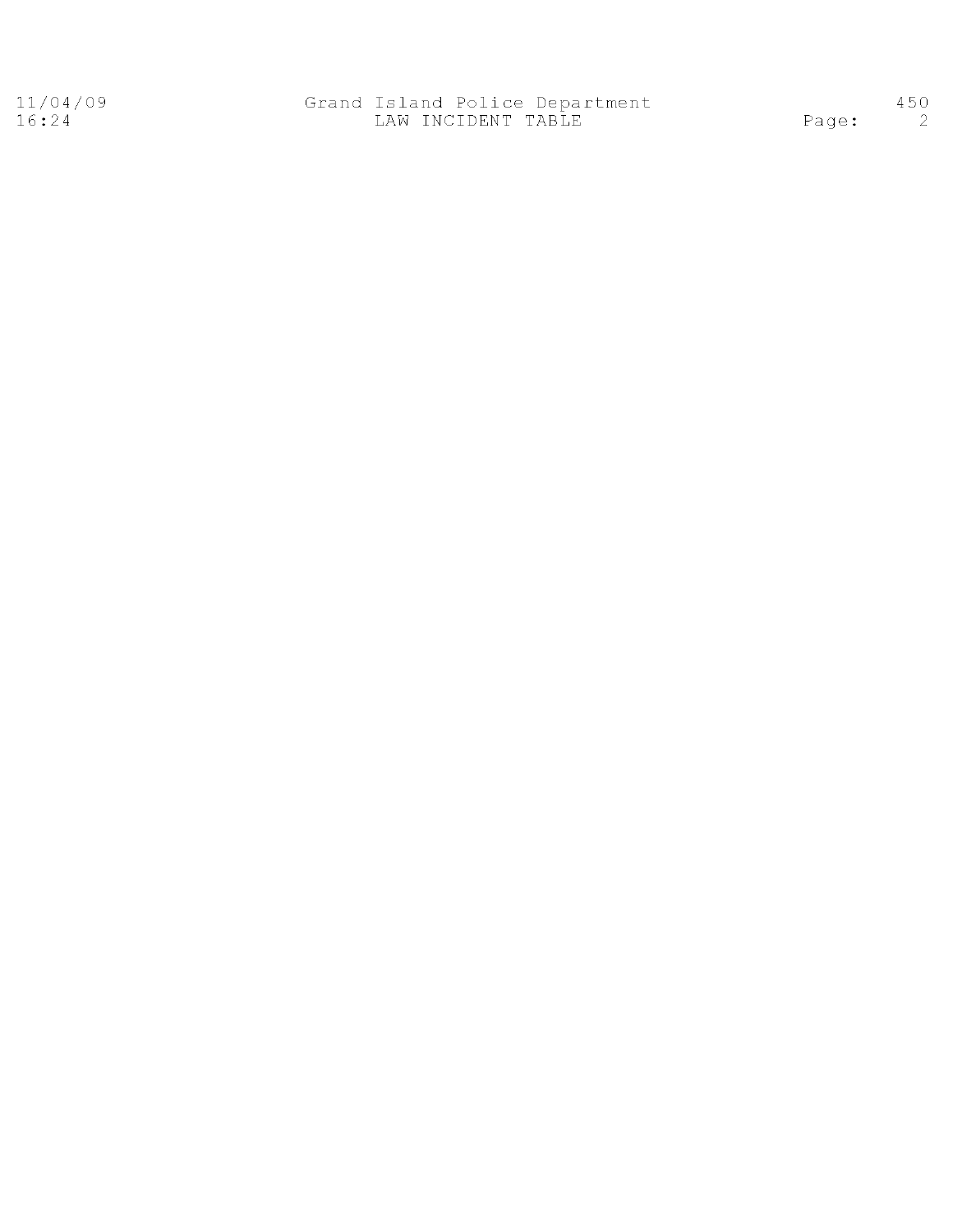$11/04/09$ <br>16:24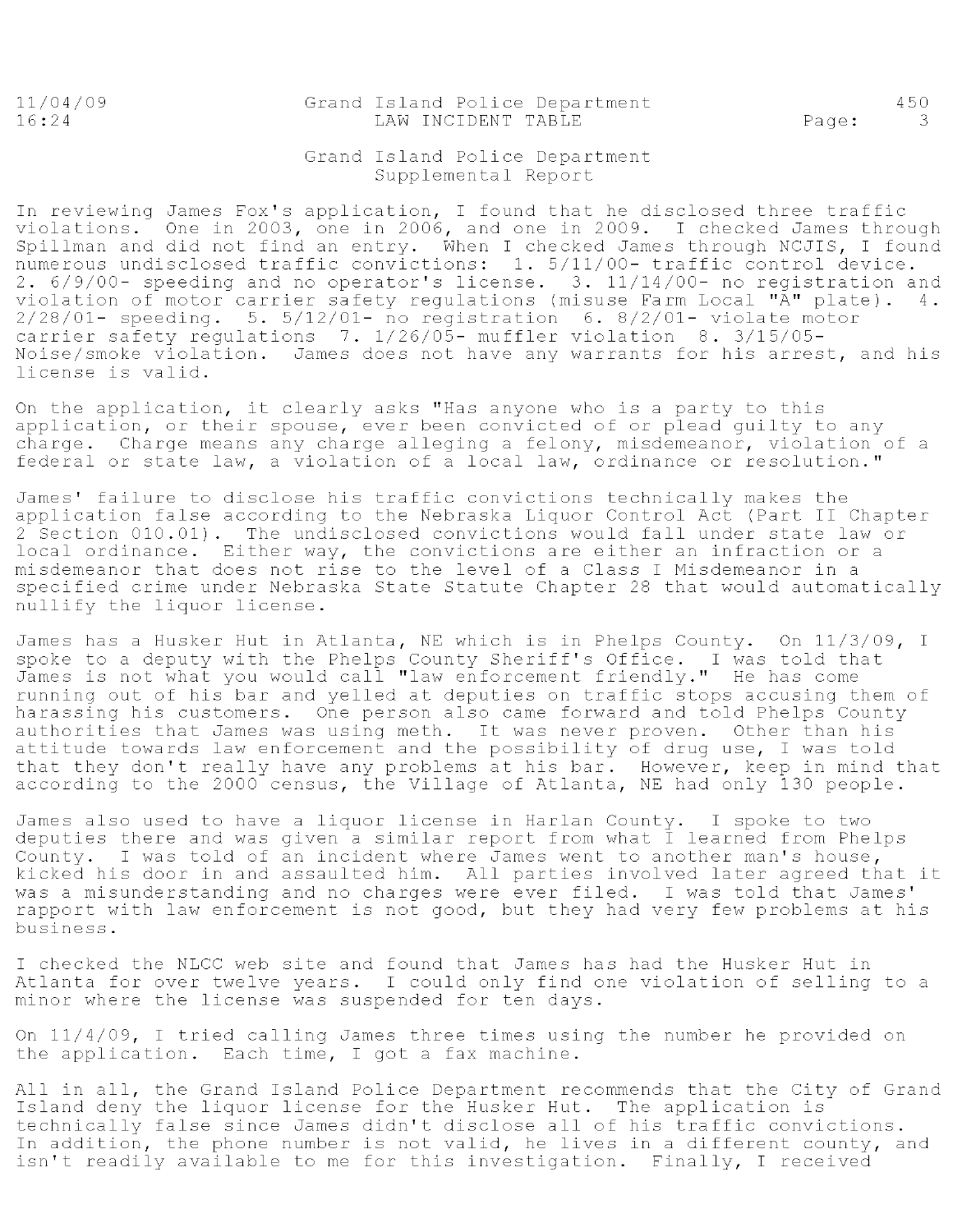$11/04/09$  $16:24$ 

#### Grand Island Police Department LAW INCIDENT TABLE

Page:

450

 $\overline{\mathbf{3}}$ 

#### Grand Island Police Department Supplemental Report

In reviewing James Fox's application, I found that he disclosed three traffic violations. One in 2003, one in 2006, and one in 2009. I checked James through Spillman and did not find an entry. When I checked James through NCJIS, I found<br>numerous undisclosed traffic convictions: 1. 5/11/00- traffic control device. 2. 6/9/00- speeding and no operator's license. 3. 11/14/00- no registration and violation of motor carrier safety regulations (misuse Farm Local "A" plate).  $4.$  $2/28/01$ - speeding. 5.  $5/12/01$ - no registration 6.  $8/2/01$ - violate motor carrier safety regulations 7. 1/26/05- muffler violation 8. 3/15/05-Noise/smoke violation. James does not have any warrants for his arrest, and his license is valid.

On the application, it clearly asks "Has anyone who is a party to this application, or their spouse, ever been convicted of or plead quilty to any charge. Charge means any charge alleging a felony, misdemeanor, violation of a federal or state law, a violation of a local law, ordinance or resolution."

James' failure to disclose his traffic convictions technically makes the application false according to the Nebraska Liquor Control Act (Part II Chapter 2 Section 010.01). The undisclosed convictions would fall under state law or local ordinance. Either way, the convictions are either an infraction or a misdemeanor that does not rise to the level of a Class I Misdemeanor in a specified crime under Nebraska State Statute Chapter 28 that would automatically nullify the liquor license.

James has a Husker Hut in Atlanta, NE which is in Phelps County. On 11/3/09, I spoke to a deputy with the Phelps County Sheriff's Office. I was told that James is not what you would call "law enforcement friendly." He has come running out of his bar and yelled at deputies on traffic stops accusing them of harassing his customers. One person also came forward and told Phelps County authorities that James was using meth. It was never proven. Other than his<br>attitude towards law enforcement and the possibility of drug use, I was told that they don't really have any problems at his bar. However, keep in mind that according to the 2000 census, the Village of Atlanta, NE had only 130 people.

James also used to have a liquor license in Harlan County. I spoke to two<br>deputies there and was given a similar report from what I learned from Phelps County. I was told of an incident where James went to another man's house, kicked his door in and assaulted him. All parties involved later agreed that it was a misunderstanding and no charges were ever filed. I was told that James' rapport with law enforcement is not good, but they had very few problems at his business.

I checked the NLCC web site and found that James has had the Husker Hut in Atlanta for over twelve years. I could only find one violation of selling to a minor where the license was suspended for ten days.

On 11/4/09, I tried calling James three times using the number he provided on the application. Each time, I got a fax machine.

All in all, the Grand Island Police Department recommends that the City of Grand Island deny the liquor license for the Husker Hut. The application is technically false since James didn't disclose all of his traffic convictions. In addition, the phone number is not valid, he lives in a different county, and isn't readily available to me for this investigation. Finally, I received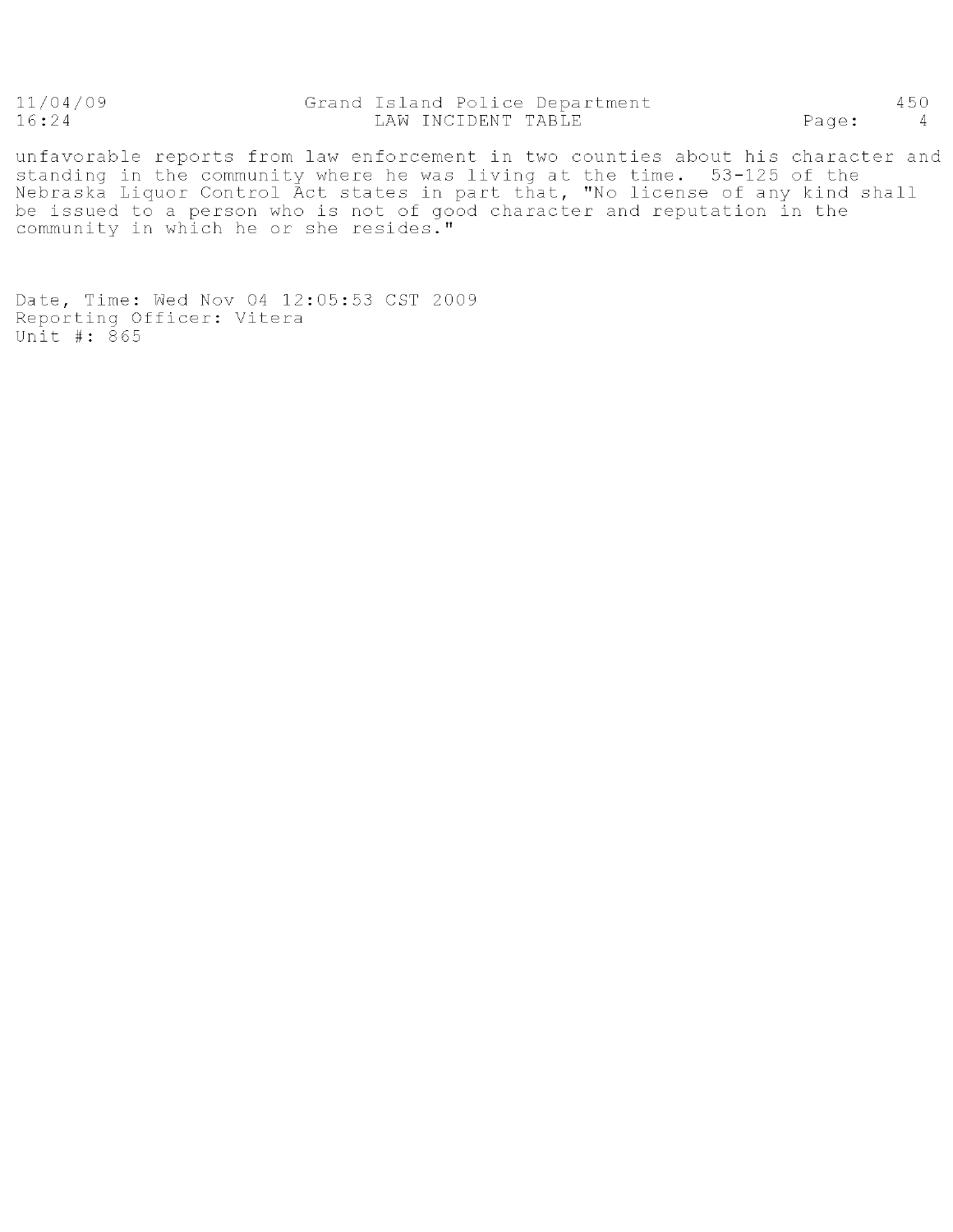$11/04/09$  $16:24$ 

Page:  $4<sup>1</sup>$ 

450

unfavorable reports from law enforcement in two counties about his character and standing in the community where he was living at the time. 53-125 of the<br>Nebraska Liquor Control Act states in part that, "No license of any kind shall be issued to a person who is not of good character and reputation in the community in which he or she resides."

Date, Time: Wed Nov 04 12:05:53 CST 2009 Reporting Officer: Vitera Unit #:  $865$